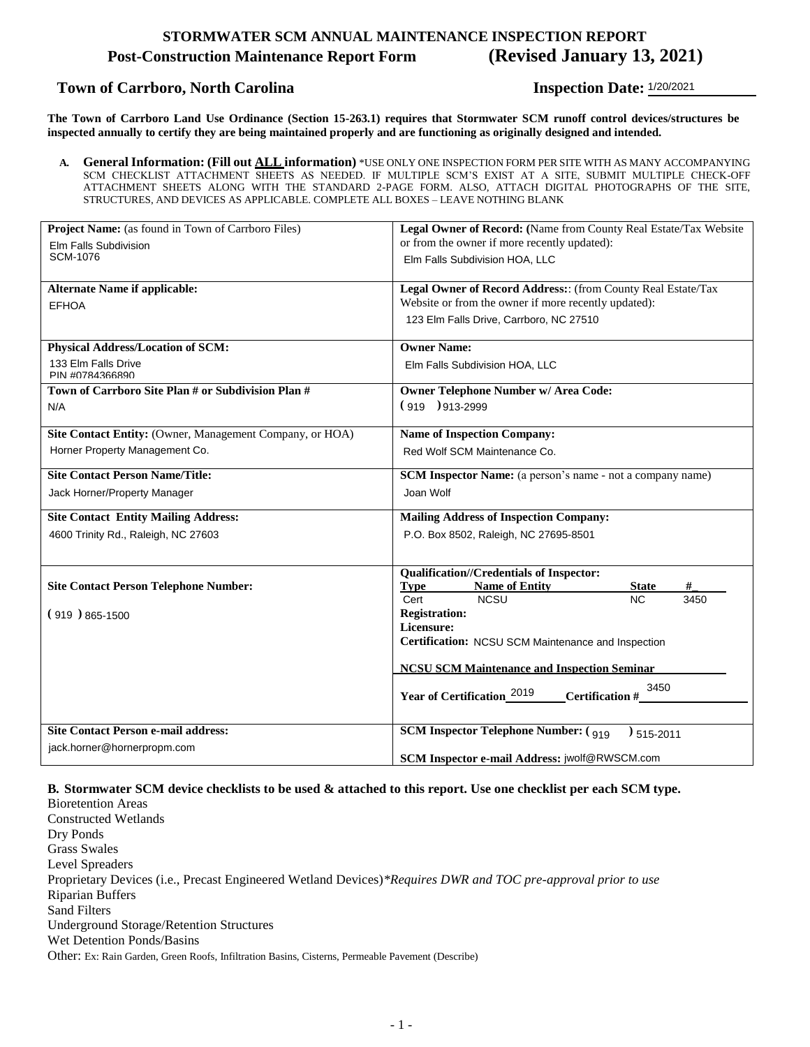#### **STORMWATER SCM ANNUAL MAINTENANCE INSPECTION REPORT**

#### **Post-Construction Maintenance Report Form (Revised January 13, 2021)**

#### **Town of Carrboro, North Carolina**

**Inspection Date: 1/20/2021** 

**The Town of Carrboro Land Use Ordinance (Section 15-263.1) requires that Stormwater SCM runoff control devices/structures be inspected annually to certify they are being maintained properly and are functioning as originally designed and intended.**

**A. General Information: (Fill out ALL information)** \*USE ONLY ONE INSPECTION FORM PER SITE WITH AS MANY ACCOMPANYING SCM CHECKLIST ATTACHMENT SHEETS AS NEEDED. IF MULTIPLE SCM'S EXIST AT A SITE, SUBMIT MULTIPLE CHECK-OFF ATTACHMENT SHEETS ALONG WITH THE STANDARD 2-PAGE FORM. ALSO, ATTACH DIGITAL PHOTOGRAPHS OF THE SITE, STRUCTURES, AND DEVICES AS APPLICABLE. COMPLETE ALL BOXES – LEAVE NOTHING BLANK

| Project Name: (as found in Town of Carrboro Files)       | Legal Owner of Record: (Name from County Real Estate/Tax Website     |  |
|----------------------------------------------------------|----------------------------------------------------------------------|--|
| Elm Falls Subdivision<br>SCM-1076                        | or from the owner if more recently updated):                         |  |
|                                                          | Elm Falls Subdivision HOA, LLC                                       |  |
| <b>Alternate Name if applicable:</b>                     | Legal Owner of Record Address: (from County Real Estate/Tax          |  |
| <b>EFHOA</b>                                             | Website or from the owner if more recently updated):                 |  |
|                                                          | 123 Elm Falls Drive, Carrboro, NC 27510                              |  |
| <b>Physical Address/Location of SCM:</b>                 | <b>Owner Name:</b>                                                   |  |
| 133 Elm Falls Drive<br>PIN #0784366890                   | Elm Falls Subdivision HOA, LLC                                       |  |
| Town of Carrboro Site Plan # or Subdivision Plan #       | Owner Telephone Number w/ Area Code:                                 |  |
| N/A                                                      | $(919)913-2999$                                                      |  |
| Site Contact Entity: (Owner, Management Company, or HOA) | <b>Name of Inspection Company:</b>                                   |  |
| Horner Property Management Co.                           | Red Wolf SCM Maintenance Co.                                         |  |
| <b>Site Contact Person Name/Title:</b>                   | <b>SCM Inspector Name:</b> (a person's name - not a company name)    |  |
| Jack Horner/Property Manager                             | Joan Wolf                                                            |  |
| <b>Site Contact Entity Mailing Address:</b>              | <b>Mailing Address of Inspection Company:</b>                        |  |
| 4600 Trinity Rd., Raleigh, NC 27603                      | P.O. Box 8502, Raleigh, NC 27695-8501                                |  |
|                                                          | <b>Qualification//Credentials of Inspector:</b>                      |  |
| <b>Site Contact Person Telephone Number:</b>             | <b>Name of Entity</b><br><b>Type</b><br><b>State</b>                 |  |
|                                                          | Cert<br><b>NCSU</b><br><b>NC</b><br>3450                             |  |
| $(919)865-1500$                                          | <b>Registration:</b>                                                 |  |
|                                                          | Licensure:                                                           |  |
|                                                          | Certification: NCSU SCM Maintenance and Inspection                   |  |
|                                                          | <b>NCSU SCM Maintenance and Inspection Seminar</b>                   |  |
|                                                          | 3450<br>Year of Certification_2019<br>Certification #                |  |
|                                                          |                                                                      |  |
| <b>Site Contact Person e-mail address:</b>               | <b>SCM Inspector Telephone Number:</b> (919)<br>$\frac{1}{515-2011}$ |  |
| jack.horner@hornerpropm.com                              | SCM Inspector e-mail Address: jwolf@RWSCM.com                        |  |

#### **B. Stormwater SCM device checklists to be used & attached to this report. Use one checklist per each SCM type.**

Bioretention Areas Constructed Wetlands Dry Ponds Grass Swales Level Spreaders Proprietary Devices (i.e., Precast Engineered Wetland Devices)*\*Requires DWR and TOC pre-approval prior to use* Riparian Buffers Sand Filters Underground Storage/Retention Structures Wet Detention Ponds/Basins Other: Ex: Rain Garden, Green Roofs, Infiltration Basins, Cisterns, Permeable Pavement (Describe)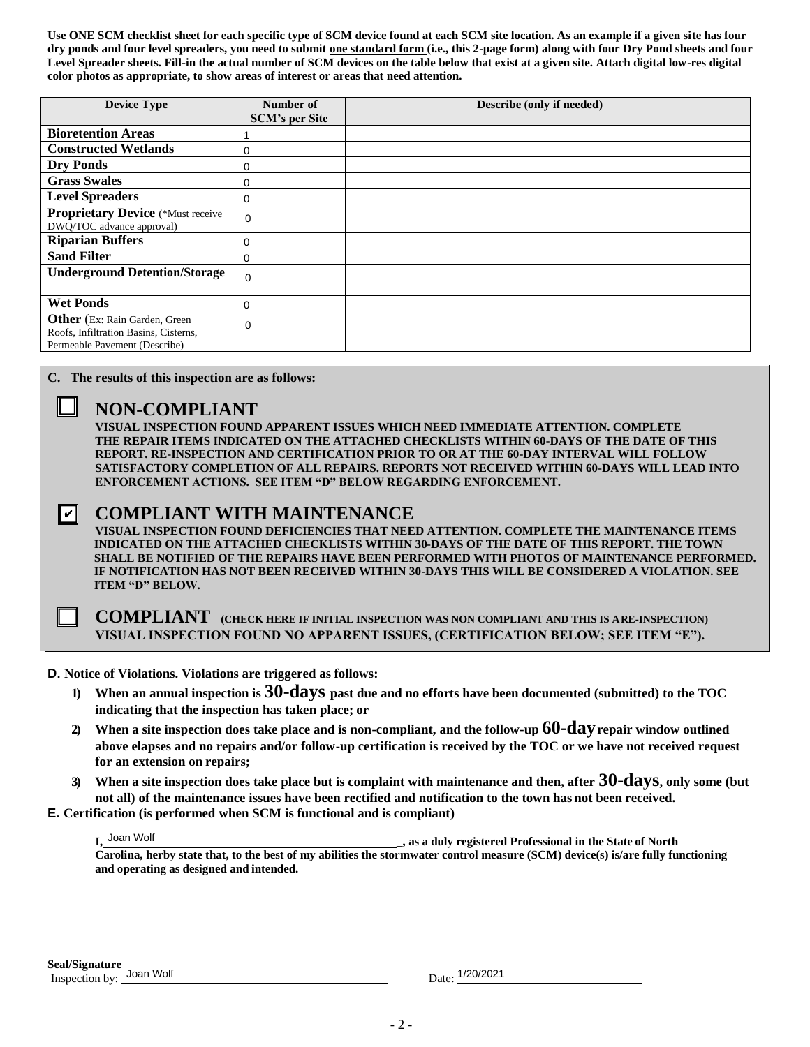**Use ONE SCM checklist sheet for each specific type of SCM device found at each SCM site location. As an example if a given site has four dry ponds and four level spreaders, you need to submit one standard form (i.e., this 2-page form) along with four Dry Pond sheets and four Level Spreader sheets. Fill-in the actual number of SCM devices on the table below that exist at a given site. Attach digital low-res digital color photos as appropriate, to show areas of interest or areas that need attention.**

| <b>Device Type</b>                                                                                                                                                                                                                                                                                                                                                                                                                                                                                                                                                                                                                                                                                                                                                                                                                                                                                                                                                                                                                                                                                                                                                     | Number of                                                                                                                                                      | Describe (only if needed) |  |
|------------------------------------------------------------------------------------------------------------------------------------------------------------------------------------------------------------------------------------------------------------------------------------------------------------------------------------------------------------------------------------------------------------------------------------------------------------------------------------------------------------------------------------------------------------------------------------------------------------------------------------------------------------------------------------------------------------------------------------------------------------------------------------------------------------------------------------------------------------------------------------------------------------------------------------------------------------------------------------------------------------------------------------------------------------------------------------------------------------------------------------------------------------------------|----------------------------------------------------------------------------------------------------------------------------------------------------------------|---------------------------|--|
|                                                                                                                                                                                                                                                                                                                                                                                                                                                                                                                                                                                                                                                                                                                                                                                                                                                                                                                                                                                                                                                                                                                                                                        | <b>SCM's per Site</b>                                                                                                                                          |                           |  |
| <b>Bioretention Areas</b>                                                                                                                                                                                                                                                                                                                                                                                                                                                                                                                                                                                                                                                                                                                                                                                                                                                                                                                                                                                                                                                                                                                                              | 1                                                                                                                                                              |                           |  |
| <b>Constructed Wetlands</b>                                                                                                                                                                                                                                                                                                                                                                                                                                                                                                                                                                                                                                                                                                                                                                                                                                                                                                                                                                                                                                                                                                                                            | 0                                                                                                                                                              |                           |  |
| <b>Dry Ponds</b>                                                                                                                                                                                                                                                                                                                                                                                                                                                                                                                                                                                                                                                                                                                                                                                                                                                                                                                                                                                                                                                                                                                                                       | $\mathbf 0$                                                                                                                                                    |                           |  |
| <b>Grass Swales</b>                                                                                                                                                                                                                                                                                                                                                                                                                                                                                                                                                                                                                                                                                                                                                                                                                                                                                                                                                                                                                                                                                                                                                    | $\mathbf 0$                                                                                                                                                    |                           |  |
| <b>Level Spreaders</b>                                                                                                                                                                                                                                                                                                                                                                                                                                                                                                                                                                                                                                                                                                                                                                                                                                                                                                                                                                                                                                                                                                                                                 | $\pmb{0}$                                                                                                                                                      |                           |  |
| <b>Proprietary Device (*Must receive</b><br>DWQ/TOC advance approval)                                                                                                                                                                                                                                                                                                                                                                                                                                                                                                                                                                                                                                                                                                                                                                                                                                                                                                                                                                                                                                                                                                  | $\Omega$                                                                                                                                                       |                           |  |
| <b>Riparian Buffers</b>                                                                                                                                                                                                                                                                                                                                                                                                                                                                                                                                                                                                                                                                                                                                                                                                                                                                                                                                                                                                                                                                                                                                                | $\pmb{0}$                                                                                                                                                      |                           |  |
| Sand Filter                                                                                                                                                                                                                                                                                                                                                                                                                                                                                                                                                                                                                                                                                                                                                                                                                                                                                                                                                                                                                                                                                                                                                            | $\mathbf 0$                                                                                                                                                    |                           |  |
| <b>Underground Detention/Storage</b>                                                                                                                                                                                                                                                                                                                                                                                                                                                                                                                                                                                                                                                                                                                                                                                                                                                                                                                                                                                                                                                                                                                                   | $\Omega$                                                                                                                                                       |                           |  |
| <b>Wet Ponds</b>                                                                                                                                                                                                                                                                                                                                                                                                                                                                                                                                                                                                                                                                                                                                                                                                                                                                                                                                                                                                                                                                                                                                                       | $\mathbf 0$                                                                                                                                                    |                           |  |
| Other (Ex: Rain Garden, Green                                                                                                                                                                                                                                                                                                                                                                                                                                                                                                                                                                                                                                                                                                                                                                                                                                                                                                                                                                                                                                                                                                                                          |                                                                                                                                                                |                           |  |
| Roofs, Infiltration Basins, Cisterns,                                                                                                                                                                                                                                                                                                                                                                                                                                                                                                                                                                                                                                                                                                                                                                                                                                                                                                                                                                                                                                                                                                                                  | $\mathbf 0$                                                                                                                                                    |                           |  |
| Permeable Pavement (Describe)                                                                                                                                                                                                                                                                                                                                                                                                                                                                                                                                                                                                                                                                                                                                                                                                                                                                                                                                                                                                                                                                                                                                          |                                                                                                                                                                |                           |  |
| C. The results of this inspection are as follows:<br><b>NON-COMPLIANT</b><br>VISUAL INSPECTION FOUND APPARENT ISSUES WHICH NEED IMMEDIATE ATTENTION. COMPLETE<br>THE REPAIR ITEMS INDICATED ON THE ATTACHED CHECKLISTS WITHIN 60-DAYS OF THE DATE OF THIS<br>REPORT. RE-INSPECTION AND CERTIFICATION PRIOR TO OR AT THE 60-DAY INTERVAL WILL FOLLOW<br>SATISFACTORY COMPLETION OF ALL REPAIRS. REPORTS NOT RECEIVED WITHIN 60-DAYS WILL LEAD INTO<br>ENFORCEMENT ACTIONS. SEE ITEM "D" BELOW REGARDING ENFORCEMENT.<br><b>COMPLIANT WITH MAINTENANCE</b><br>∐<br>VISUAL INSPECTION FOUND DEFICIENCIES THAT NEED ATTENTION. COMPLETE THE MAINTENANCE ITEMS<br>INDICATED ON THE ATTACHED CHECKLISTS WITHIN 30-DAYS OF THE DATE OF THIS REPORT. THE TOWN<br>SHALL BE NOTIFIED OF THE REPAIRS HAVE BEEN PERFORMED WITH PHOTOS OF MAINTENANCE PERFORMED<br>IF NOTIFICATION HAS NOT BEEN RECEIVED WITHIN 30-DAYS THIS WILL BE CONSIDERED A VIOLATION. SEE<br><b>ITEM "D" BELOW.</b><br><b>COMPLIANT</b> (CHECK HERE IF INITIAL INSPECTION WAS NON COMPLIANT AND THIS IS A RE-INSPECTION)<br>VISUAL INSPECTION FOUND NO APPARENT ISSUES, (CERTIFICATION BELOW; SEE ITEM "E"). |                                                                                                                                                                |                           |  |
| D. Notice of Violations. Violations are triggered as follows:                                                                                                                                                                                                                                                                                                                                                                                                                                                                                                                                                                                                                                                                                                                                                                                                                                                                                                                                                                                                                                                                                                          |                                                                                                                                                                |                           |  |
| $\bf{l}$                                                                                                                                                                                                                                                                                                                                                                                                                                                                                                                                                                                                                                                                                                                                                                                                                                                                                                                                                                                                                                                                                                                                                               | When an annual inspection is 30-days past due and no efforts have been documented (submitted) to the TOC<br>indicating that the inspection has taken place; or |                           |  |
| When a site inspection does take place and is non-compliant, and the follow-up $60$ - $day$ repair window outlined<br>$\mathbf{2}$<br>above elapses and no repairs and/or follow-up certification is received by the TOC or we have not received request<br>for an extension on repairs;                                                                                                                                                                                                                                                                                                                                                                                                                                                                                                                                                                                                                                                                                                                                                                                                                                                                               |                                                                                                                                                                |                           |  |
| When a site inspection does take place but is complaint with maintenance and then, after 30-dayS, only some (but<br>$\mathbf{3}$<br>not all) of the maintenance issues have been rectified and notification to the town has not been received.<br><b>E.</b> Certification (is performed when SCM is functional and is compliant)                                                                                                                                                                                                                                                                                                                                                                                                                                                                                                                                                                                                                                                                                                                                                                                                                                       |                                                                                                                                                                |                           |  |
|                                                                                                                                                                                                                                                                                                                                                                                                                                                                                                                                                                                                                                                                                                                                                                                                                                                                                                                                                                                                                                                                                                                                                                        |                                                                                                                                                                |                           |  |
| I, Joan Wolf<br>s as a duly registered Professional in the State of North<br>Carolina, herby state that, to the best of my abilities the stormwater control measure (SCM) device(s) is/are fully functioning<br>and operating as designed and intended.                                                                                                                                                                                                                                                                                                                                                                                                                                                                                                                                                                                                                                                                                                                                                                                                                                                                                                                |                                                                                                                                                                |                           |  |
| Seal/Signature<br>Inspection by: Joan Wolf                                                                                                                                                                                                                                                                                                                                                                                                                                                                                                                                                                                                                                                                                                                                                                                                                                                                                                                                                                                                                                                                                                                             |                                                                                                                                                                | Date: 1/20/2021           |  |

#### **NON-COMPLIANT**

#### | V | **COMPLIANT WITH MAINTENANCE**

#### **D. Notice of Violations. Violations are triggered as follows:**

- **1) When an annual inspection is 30-days past due and no efforts have been documented (submitted) to the TOC indicating that the inspection has taken place; or**
- **2) When a site inspection does take place and is non-compliant, and the follow-up 60-dayrepair window outlined above elapses and no repairs and/or follow-up certification is received by the TOC or we have not received request for an extension on repairs;**
- **3) When a site inspection does take place but is complaint with maintenance and then, after 30-days, only some (but not all) of the maintenance issues have been rectified and notification to the town has not been received.**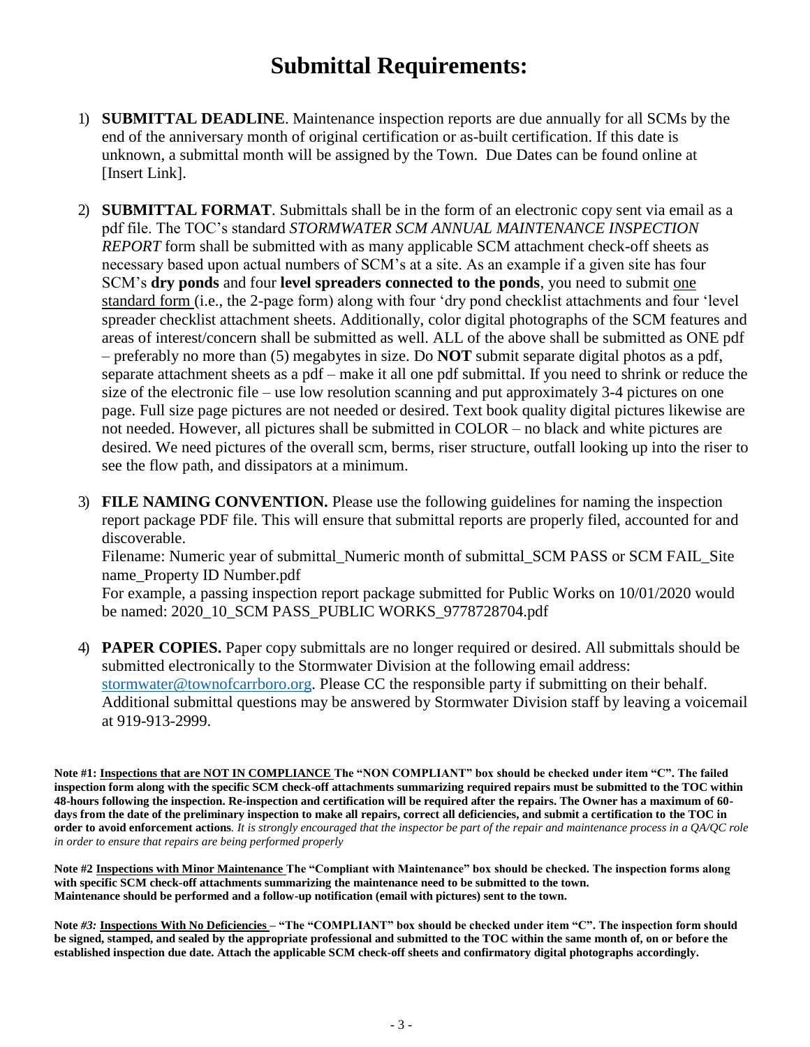## **Submittal Requirements:**

- 1) **SUBMITTAL DEADLINE**. Maintenance inspection reports are due annually for all SCMs by the end of the anniversary month of original certification or as-built certification. If this date is unknown, a submittal month will be assigned by the Town. Due Dates can be found online at [Insert Link].
- 2) **SUBMITTAL FORMAT**. Submittals shall be in the form of an electronic copy sent via email as a pdf file. The TOC's standard *STORMWATER SCM ANNUAL MAINTENANCE INSPECTION REPORT* form shall be submitted with as many applicable SCM attachment check-off sheets as necessary based upon actual numbers of SCM's at a site. As an example if a given site has four SCM's **dry ponds** and four **level spreaders connected to the ponds**, you need to submit one standard form (i.e., the 2-page form) along with four 'dry pond checklist attachments and four 'level spreader checklist attachment sheets. Additionally, color digital photographs of the SCM features and areas of interest/concern shall be submitted as well. ALL of the above shall be submitted as ONE pdf – preferably no more than (5) megabytes in size. Do **NOT** submit separate digital photos as a pdf, separate attachment sheets as a pdf – make it all one pdf submittal. If you need to shrink or reduce the size of the electronic file – use low resolution scanning and put approximately 3-4 pictures on one page. Full size page pictures are not needed or desired. Text book quality digital pictures likewise are not needed. However, all pictures shall be submitted in COLOR – no black and white pictures are desired. We need pictures of the overall scm, berms, riser structure, outfall looking up into the riser to see the flow path, and dissipators at a minimum.
- 3) **FILE NAMING CONVENTION.** Please use the following guidelines for naming the inspection report package PDF file. This will ensure that submittal reports are properly filed, accounted for and discoverable.

Filename: Numeric year of submittal\_Numeric month of submittal\_SCM PASS or SCM FAIL\_Site name\_Property ID Number.pdf

For example, a passing inspection report package submitted for Public Works on 10/01/2020 would be named: 2020\_10\_SCM PASS\_PUBLIC WORKS\_9778728704.pdf

4) **PAPER COPIES.** Paper copy submittals are no longer required or desired. All submittals should be submitted electronically to the Stormwater Division at the following email address: [stormwater@townofcarrboro.org.](mailto:stormwater@townofcarrboro.org) Please CC the responsible party if submitting on their behalf. Additional submittal questions may be answered by Stormwater Division staff by leaving a voicemail at 919-913-2999.

**Note #1: Inspections that are NOT IN COMPLIANCE The "NON COMPLIANT" box should be checked under item "C". The failed inspection form along with the specific SCM check-off attachments summarizing required repairs must be submitted to the TOC within 48-hours following the inspection. Re-inspection and certification will be required after the repairs. The Owner has a maximum of 60 days from the date of the preliminary inspection to make all repairs, correct all deficiencies, and submit a certification to the TOC in order to avoid enforcement actions***. It is strongly encouraged that the inspector be part of the repair and maintenance process in a QA/QC role in order to ensure that repairs are being performed properly*

**Note #2 Inspections with Minor Maintenance The "Compliant with Maintenance" box should be checked. The inspection forms along with specific SCM check-off attachments summarizing the maintenance need to be submitted to the town. Maintenance should be performed and a follow-up notification (email with pictures) sent to the town.**

**Note** *#3:* **Inspections With No Deficiencies** *–* **"The "COMPLIANT" box should be checked under item "C". The inspection form should be signed, stamped, and sealed by the appropriate professional and submitted to the TOC within the same month of, on or before the established inspection due date. Attach the applicable SCM check-off sheets and confirmatory digital photographs accordingly.**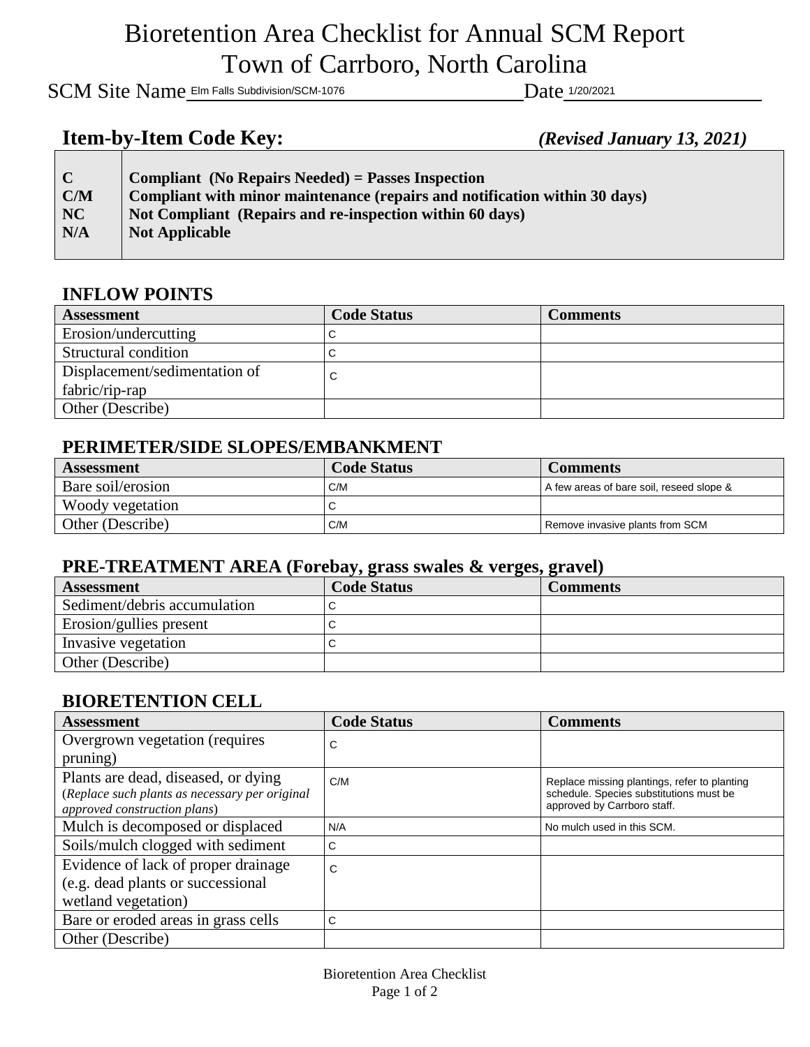## Bioretention Area Checklist for Annual SCM Report Town of Carrboro, North Carolina

SCM Site Name Elm Falls Subdivision/SCM-1076 Date 1/20/2021

## **Item-by-Item Code Key:** *(Revised January 13, 2021)*

| $\mathbf C$ | <b>Compliant</b> (No Repairs Needed) = Passes Inspection<br>Compliant with minor maintenance (repairs and notification within 30 days) |
|-------------|----------------------------------------------------------------------------------------------------------------------------------------|
| C/M<br>NC   | Not Compliant (Repairs and re-inspection within 60 days)                                                                               |
| N/A         | Not Applicable                                                                                                                         |
|             |                                                                                                                                        |

### **INFLOW POINTS**

| <b>Assessment</b>             | <b>Code Status</b> | <b>Comments</b> |
|-------------------------------|--------------------|-----------------|
| Erosion/undercutting          |                    |                 |
| Structural condition          |                    |                 |
| Displacement/sedimentation of | ັ                  |                 |
| fabric/rip-rap                |                    |                 |
| Other (Describe)              |                    |                 |

#### **PERIMETER/SIDE SLOPES/EMBANKMENT**

| <b>Assessment</b> | <b>Code Status</b> | <b>Comments</b>                          |
|-------------------|--------------------|------------------------------------------|
| Bare soil/erosion | C/M                | A few areas of bare soil, reseed slope & |
| Woody vegetation  | ◡                  |                                          |
| Other (Describe)  | C/M                | Remove invasive plants from SCM          |

#### **PRE-TREATMENT AREA (Forebay, grass swales & verges, gravel)**

| <b>Assessment</b>            | <b>Code Status</b> | <b>Comments</b> |
|------------------------------|--------------------|-----------------|
| Sediment/debris accumulation |                    |                 |
| Erosion/gullies present      |                    |                 |
| Invasive vegetation          |                    |                 |
| Other (Describe)             |                    |                 |

### **BIORETENTION CELL**

| <b>Assessment</b>                                                              | <b>Code Status</b> | <b>Comments</b>                                                        |
|--------------------------------------------------------------------------------|--------------------|------------------------------------------------------------------------|
| Overgrown vegetation (requires                                                 | С                  |                                                                        |
| pruning)                                                                       |                    |                                                                        |
| Plants are dead, diseased, or dying                                            | C/M                | Replace missing plantings, refer to planting                           |
| (Replace such plants as necessary per original<br>approved construction plans) |                    | schedule. Species substitutions must be<br>approved by Carrboro staff. |
| Mulch is decomposed or displaced                                               | N/A                | No mulch used in this SCM.                                             |
| Soils/mulch clogged with sediment                                              | С                  |                                                                        |
| Evidence of lack of proper drainage                                            | C                  |                                                                        |
| (e.g. dead plants or successional                                              |                    |                                                                        |
| wetland vegetation)                                                            |                    |                                                                        |
| Bare or eroded areas in grass cells                                            | C                  |                                                                        |
| Other (Describe)                                                               |                    |                                                                        |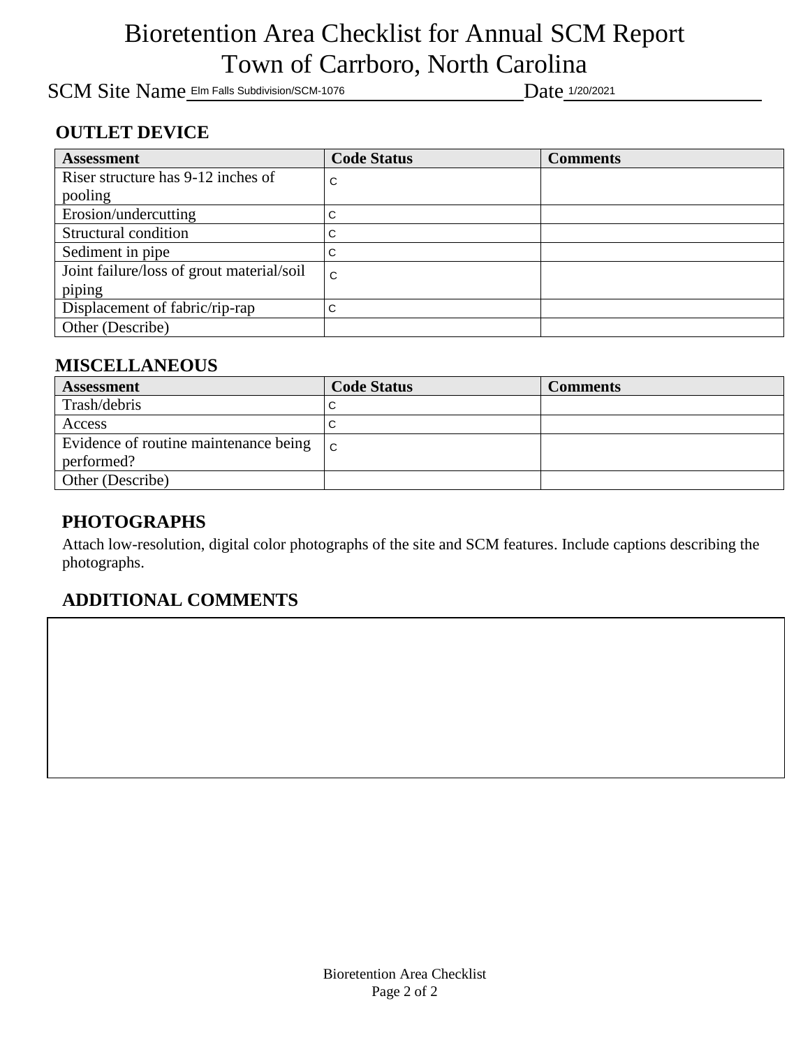# Bioretention Area Checklist for Annual SCM Report Town of Carrboro, North Carolina

SCM Site Name Elm Falls Subdivision/SCM-1076 Date 1/20/2021

### **OUTLET DEVICE**

| <b>Assessment</b>                         | <b>Code Status</b> | <b>Comments</b> |
|-------------------------------------------|--------------------|-----------------|
| Riser structure has 9-12 inches of        | С                  |                 |
| pooling                                   |                    |                 |
| Erosion/undercutting                      | С                  |                 |
| Structural condition                      | C                  |                 |
| Sediment in pipe                          | С                  |                 |
| Joint failure/loss of grout material/soil | C                  |                 |
| piping                                    |                    |                 |
| Displacement of fabric/rip-rap            | C                  |                 |
| Other (Describe)                          |                    |                 |

### **MISCELLANEOUS**

| <b>Assessment</b>                                   | <b>Code Status</b> | <b>Comments</b> |
|-----------------------------------------------------|--------------------|-----------------|
| Trash/debris                                        |                    |                 |
| Access                                              |                    |                 |
| Evidence of routine maintenance being $\mathcal{C}$ |                    |                 |
| performed?                                          |                    |                 |
| Other (Describe)                                    |                    |                 |

### **PHOTOGRAPHS**

Attach low-resolution, digital color photographs of the site and SCM features. Include captions describing the photographs.

### **ADDITIONAL COMMENTS**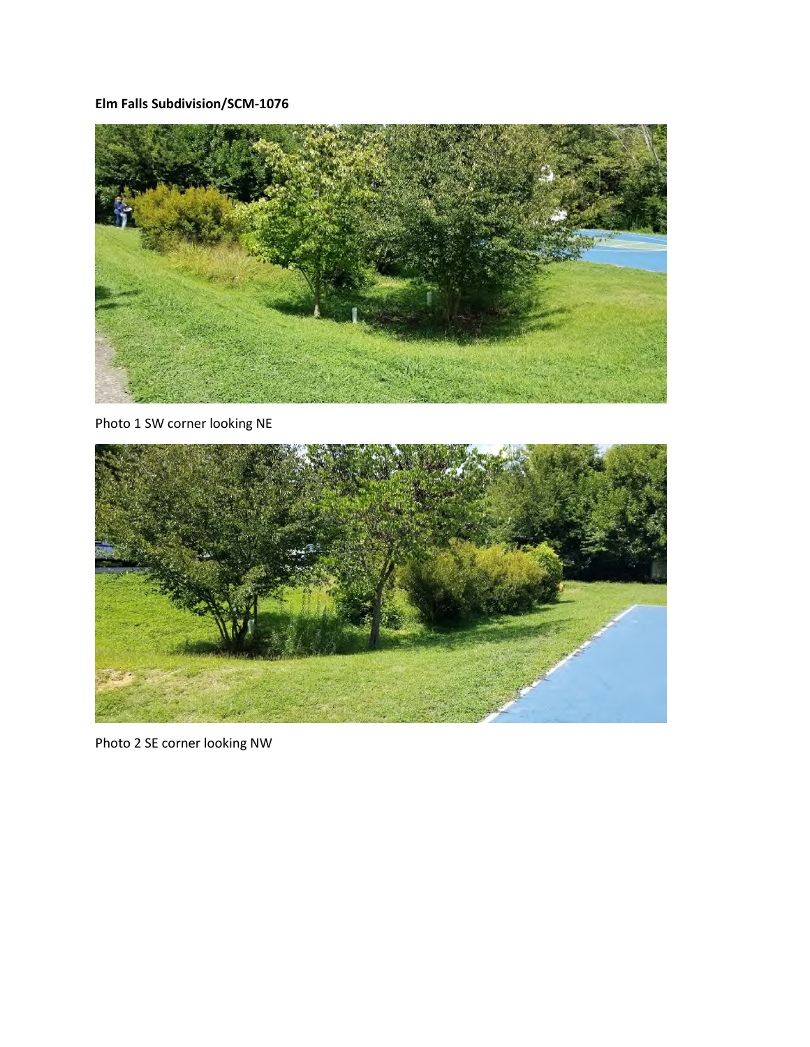**Elm Falls Subdivision/SCM-1076** 



Photo 1 SW corner looking NE



Photo 2 SE corner looking NW